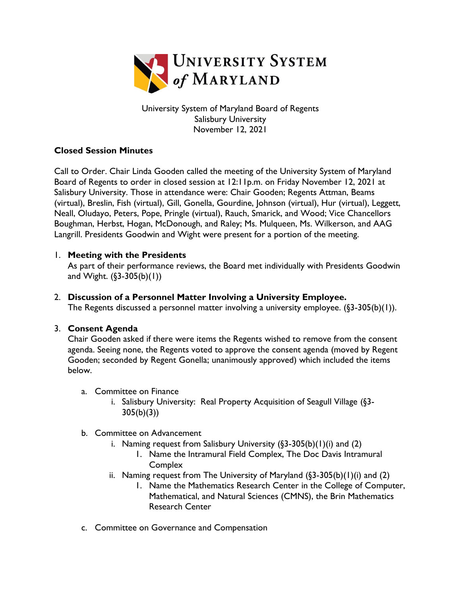

University System of Maryland Board of Regents Salisbury University November 12, 2021

## **Closed Session Minutes**

Call to Order. Chair Linda Gooden called the meeting of the University System of Maryland Board of Regents to order in closed session at 12:11p.m. on Friday November 12, 2021 at Salisbury University. Those in attendance were: Chair Gooden; Regents Attman, Beams (virtual), Breslin, Fish (virtual), Gill, Gonella, Gourdine, Johnson (virtual), Hur (virtual), Leggett, Neall, Oludayo, Peters, Pope, Pringle (virtual), Rauch, Smarick, and Wood; Vice Chancellors Boughman, Herbst, Hogan, McDonough, and Raley; Ms. Mulqueen, Ms. Wilkerson, and AAG Langrill. Presidents Goodwin and Wight were present for a portion of the meeting.

## 1. **Meeting with the Presidents**

As part of their performance reviews, the Board met individually with Presidents Goodwin and Wight. (§3-305(b)(1))

2. **Discussion of a Personnel Matter Involving a University Employee.**  The Regents discussed a personnel matter involving a university employee. (§3-305(b)(1)).

## 3. **Consent Agenda**

Chair Gooden asked if there were items the Regents wished to remove from the consent agenda. Seeing none, the Regents voted to approve the consent agenda (moved by Regent Gooden; seconded by Regent Gonella; unanimously approved) which included the items below.

- a. Committee on Finance
	- i. Salisbury University: Real Property Acquisition of Seagull Village (§3- 305(b)(3))
- b. Committee on Advancement
	- i. Naming request from Salisbury University  $(\S 3-305(b)(1)(i)$  and  $(2)$ 
		- 1. Name the Intramural Field Complex, The Doc Davis Intramural **Complex**
	- ii. Naming request from The University of Maryland  $(\S 3-305(b)(1)(i)$  and  $(2)$ 
		- 1. Name the Mathematics Research Center in the College of Computer, Mathematical, and Natural Sciences (CMNS), the Brin Mathematics Research Center
- c. Committee on Governance and Compensation